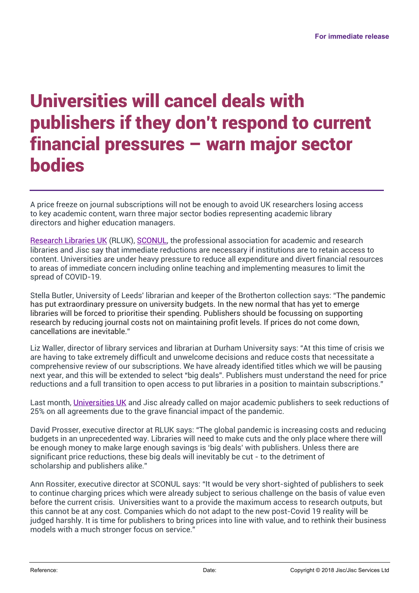## Universities will cancel deals with publishers if they don't respond to current financial pressures – warn major sector bodies

A price freeze on journal subscriptions will not be enough to avoid UK researchers losing access to key academic content, warn three major sector bodies representing academic library directors and higher education managers.

Research Libraries UK (RLUK), SCONUL, the professional association for academic and research libraries and Jisc say that immediate reductions are necessary if institutions are to retain access to content. Universities are under heavy pressure to reduce all expenditure and divert financial resources to areas of immediate concern including online teaching and implementing measures to limit the spread of COVID-19.

Stella Butler, University of Leeds' librarian and keeper of the Brotherton collection says: "The pandemic has put extraordinary pressure on university budgets. In the new normal that has yet to emerge libraries will be forced to prioritise their spending. Publishers should be focussing on supporting research by reducing journal costs not on maintaining profit levels. If prices do not come down, cancellations are inevitable."

Liz Waller, director of library services and librarian at Durham University says: "At this time of crisis we are having to take extremely difficult and unwelcome decisions and reduce costs that necessitate a comprehensive review of our subscriptions. We have already identified titles which we will be pausing next year, and this will be extended to select "big deals". Publishers must understand the need for price reductions and a full transition to open access to put libraries in a position to maintain subscriptions."

Last month, Universities UK and Jisc already called on major academic publishers to seek reductions of 25% on all agreements due to the grave financial impact of the pandemic.

David Prosser, executive director at RLUK says: "The global pandemic is increasing costs and reducing budgets in an unprecedented way. Libraries will need to make cuts and the only place where there will be enough money to make large enough savings is 'big deals' with publishers. Unless there are significant price reductions, these big deals will inevitably be cut - to the detriment of scholarship and publishers alike."

Ann Rossiter, executive director at SCONUL says: "It would be very short-sighted of publishers to seek to continue charging prices which were already subject to serious challenge on the basis of value even before the current crisis. Universities want to a provide the maximum access to research outputs, but this cannot be at any cost. Companies which do not adapt to the new post-Covid 19 reality will be judged harshly. It is time for publishers to bring prices into line with value, and to rethink their business models with a much stronger focus on service."